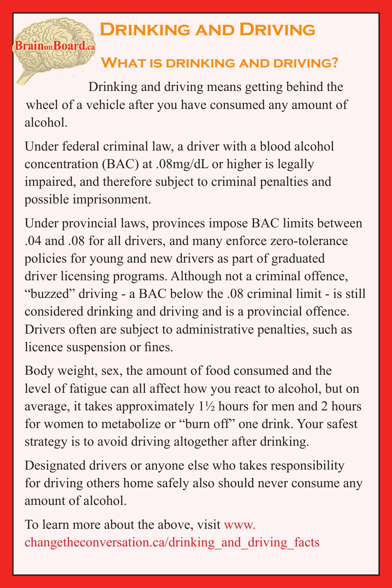## **Drinking and Driving**

## **What is drinking and driving?**

Drinking and driving means getting behind the wheel of a vehicle after you have consumed any amount of alcohol.

**Brain**<sub>on</sub>Board.ca</sub>

Under federal criminal law, a driver with a blood alcohol concentration (BAC) at .08mg/dL or higher is legally impaired, and therefore subject to criminal penalties and possible imprisonment.

Under provincial laws, provinces impose BAC limits between .04 and .08 for all drivers, and many enforce zero-tolerance policies for young and new drivers as part of graduated driver licensing programs. Although not a criminal offence, "buzzed" driving - a BAC below the .08 criminal limit - is still considered drinking and driving and is a provincial offence. Drivers often are subject to administrative penalties, such as licence suspension or fines.

Body weight, sex, the amount of food consumed and the level of fatigue can all affect how you react to alcohol, but on average, it takes approximately 1½ hours for men and 2 hours for women to metabolize or "burn off" one drink. Your safest strategy is to avoid driving altogether after drinking.

Designated drivers or anyone else who takes responsibility for driving others home safely also should never consume any amount of alcohol.

To learn more about the above, visit www. changetheconversation.ca/drinking\_and\_driving\_facts